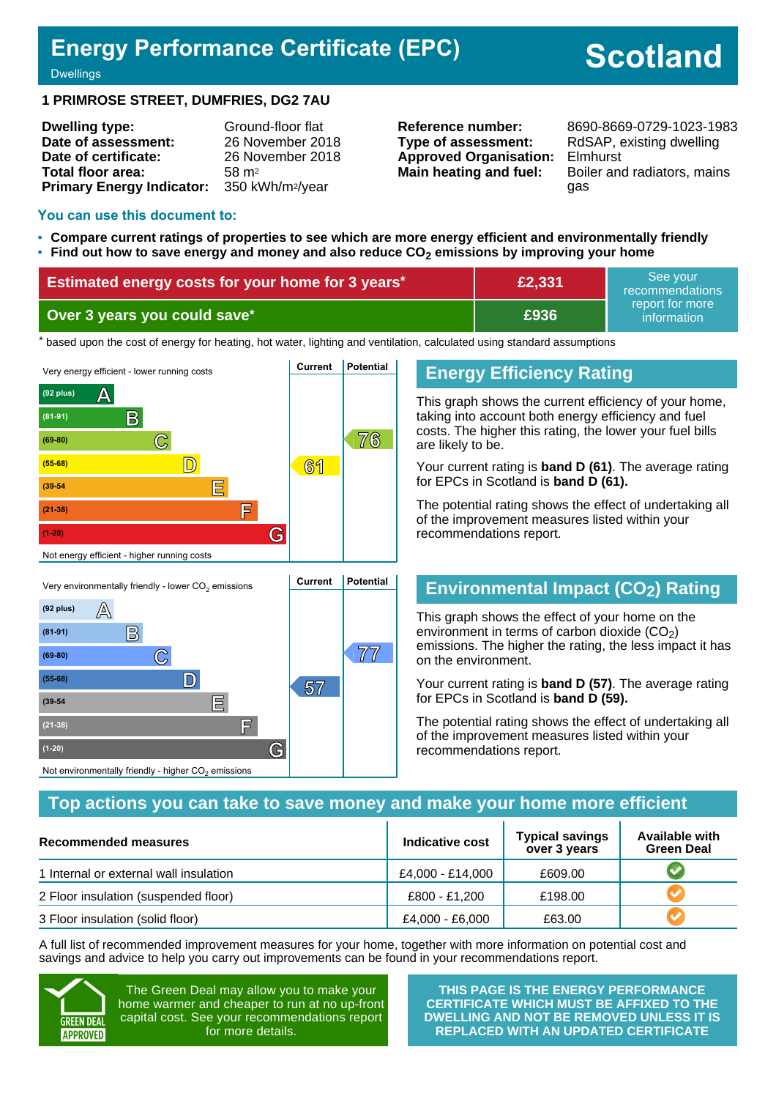## **Energy Performance Certificate (EPC)**

# **Scotland**

#### **Dwellings**

#### **1 PRIMROSE STREET, DUMFRIES, DG2 7AU**

| <b>Dwelling type:</b>            | Ground-floor flat            |
|----------------------------------|------------------------------|
| Date of assessment:              | 26 November 2018             |
| Date of certificate:             | 26 November 2018             |
| Total floor area:                | 58 m <sup>2</sup>            |
| <b>Primary Energy Indicator:</b> | 350 kWh/m <sup>2</sup> /year |

**Type of assessment:** RdSAP, existing dwelling **Approved Organisation:** Elmhurst

**Reference number:** 8690-8669-0729-1023-1983 **Main heating and fuel:** Boiler and radiators, mains gas

#### **You can use this document to:**

- **Compare current ratings of properties to see which are more energy efficient and environmentally friendly**
- **Find out how to save energy and money and also reduce CO2 emissions by improving your home**

| <b>Estimated energy costs for your home for 3 years*</b> | £2,331  | See vour<br>recommendations    |
|----------------------------------------------------------|---------|--------------------------------|
| Over 3 years you could save*                             | / £936. | report for more<br>information |

the based upon the cost of energy for heating, hot water, lighting and ventilation, calculated using standard assumptions



**D 57 (55-68)**

**(39-54 E**

**(21-38) F**

Not environmentally friendly - higher  $\mathrm{CO}_2$  emissions

**(1-20) G**

## **Energy Efficiency Rating**

This graph shows the current efficiency of your home, taking into account both energy efficiency and fuel costs. The higher this rating, the lower your fuel bills are likely to be.

Your current rating is **band D (61)**. The average rating for EPCs in Scotland is **band D (61).**

The potential rating shows the effect of undertaking all of the improvement measures listed within your recommendations report.

## **Environmental Impact (CO2) Rating**

This graph shows the effect of your home on the environment in terms of carbon dioxide  $(CO<sub>2</sub>)$ emissions. The higher the rating, the less impact it has on the environment.

Your current rating is **band D (57)**. The average rating for EPCs in Scotland is **band D (59).**

The potential rating shows the effect of undertaking all of the improvement measures listed within your recommendations report.

## **Top actions you can take to save money and make your home more efficient**

| Recommended measures                   | Indicative cost  | <b>Typical savings</b><br>over 3 years | <b>Available with</b><br><b>Green Deal</b> |
|----------------------------------------|------------------|----------------------------------------|--------------------------------------------|
| 1 Internal or external wall insulation | £4.000 - £14.000 | £609.00                                |                                            |
| 2 Floor insulation (suspended floor)   | £800 - £1.200    | £198.00                                |                                            |
| 3 Floor insulation (solid floor)       | £4,000 - £6,000  | £63.00                                 |                                            |

A full list of recommended improvement measures for your home, together with more information on potential cost and savings and advice to help you carry out improvements can be found in your recommendations report.



The Green Deal may allow you to make your home warmer and cheaper to run at no up-front capital cost. See your recommendations report for more details.

**THIS PAGE IS THE ENERGY PERFORMANCE CERTIFICATE WHICH MUST BE AFFIXED TO THE DWELLING AND NOT BE REMOVED UNLESS IT IS REPLACED WITH AN UPDATED CERTIFICATE**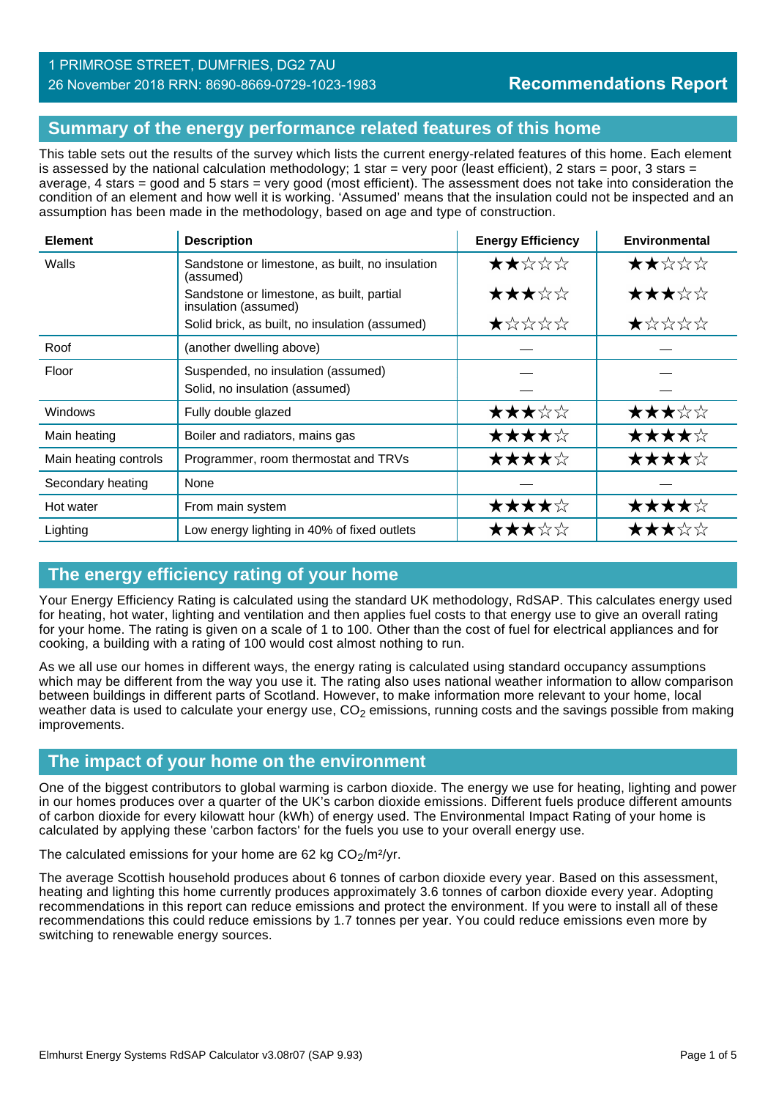#### 1 PRIMROSE STREET, DUMFRIES, DG2 7AU 26 November 2018 RRN: 8690-8669-0729-1023-1983

## **Summary of the energy performance related features of this home**

This table sets out the results of the survey which lists the current energy-related features of this home. Each element is assessed by the national calculation methodology; 1 star = very poor (least efficient), 2 stars = poor, 3 stars = average, 4 stars = good and 5 stars = very good (most efficient). The assessment does not take into consideration the condition of an element and how well it is working. 'Assumed' means that the insulation could not be inspected and an assumption has been made in the methodology, based on age and type of construction.

| <b>Element</b>        | <b>Description</b>                                                | <b>Energy Efficiency</b> | Environmental |
|-----------------------|-------------------------------------------------------------------|--------------------------|---------------|
| Walls                 | Sandstone or limestone, as built, no insulation<br>(assumed)      |                          | ★★☆☆☆         |
|                       | Sandstone or limestone, as built, partial<br>insulation (assumed) | ★★★☆☆                    | ★★★☆☆         |
|                       | Solid brick, as built, no insulation (assumed)                    | ★☆☆☆☆                    | ★☆☆☆☆         |
| Roof                  | (another dwelling above)                                          |                          |               |
| Floor                 | Suspended, no insulation (assumed)                                |                          |               |
|                       | Solid, no insulation (assumed)                                    |                          |               |
| Windows               | Fully double glazed                                               | ★★★☆☆                    | ★★★☆☆         |
| Main heating          | Boiler and radiators, mains gas                                   | ★★★★☆                    | ★★★★☆         |
| Main heating controls | Programmer, room thermostat and TRVs                              | ★★★★☆                    | ★★★★☆         |
| Secondary heating     | None                                                              |                          |               |
| Hot water             | From main system                                                  | ★★★★☆                    | ★★★★☆         |
| Lighting              | Low energy lighting in 40% of fixed outlets                       | ★★★☆☆                    | ★★★☆☆         |

## **The energy efficiency rating of your home**

Your Energy Efficiency Rating is calculated using the standard UK methodology, RdSAP. This calculates energy used for heating, hot water, lighting and ventilation and then applies fuel costs to that energy use to give an overall rating for your home. The rating is given on a scale of 1 to 100. Other than the cost of fuel for electrical appliances and for cooking, a building with a rating of 100 would cost almost nothing to run.

As we all use our homes in different ways, the energy rating is calculated using standard occupancy assumptions which may be different from the way you use it. The rating also uses national weather information to allow comparison between buildings in different parts of Scotland. However, to make information more relevant to your home, local weather data is used to calculate your energy use,  $CO<sub>2</sub>$  emissions, running costs and the savings possible from making improvements.

## **The impact of your home on the environment**

One of the biggest contributors to global warming is carbon dioxide. The energy we use for heating, lighting and power in our homes produces over a quarter of the UK's carbon dioxide emissions. Different fuels produce different amounts of carbon dioxide for every kilowatt hour (kWh) of energy used. The Environmental Impact Rating of your home is calculated by applying these 'carbon factors' for the fuels you use to your overall energy use.

The calculated emissions for your home are 62 kg  $CO<sub>2</sub>/m<sup>2</sup>/vr$ .

The average Scottish household produces about 6 tonnes of carbon dioxide every year. Based on this assessment, heating and lighting this home currently produces approximately 3.6 tonnes of carbon dioxide every year. Adopting recommendations in this report can reduce emissions and protect the environment. If you were to install all of these recommendations this could reduce emissions by 1.7 tonnes per year. You could reduce emissions even more by switching to renewable energy sources.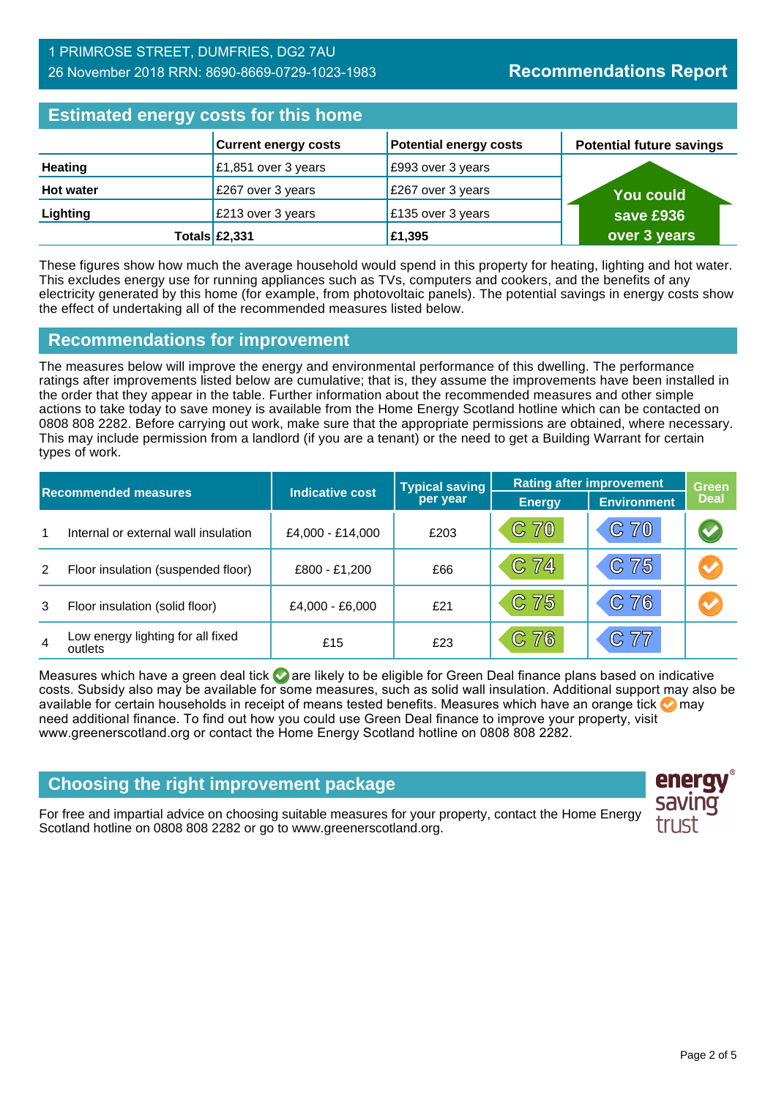#### 1 PRIMROSE STREET, DUMFRIES, DG2 7AU 26 November 2018 RRN: 8690-8669-0729-1023-1983

# **Estimated energy costs for this home**

|                  | <b>Current energy costs</b> | <b>Potential energy costs</b> | <b>Potential future savings</b> |
|------------------|-----------------------------|-------------------------------|---------------------------------|
| <b>Heating</b>   | £1,851 over 3 years         | £993 over 3 years             |                                 |
| <b>Hot water</b> | £267 over 3 years           | £267 over 3 years             | <b>You could</b>                |
| Lighting         | £213 over 3 years           | £135 over 3 years             | save £936                       |
|                  | Totals £2,331               | £1,395                        | over 3 years                    |

These figures show how much the average household would spend in this property for heating, lighting and hot water. This excludes energy use for running appliances such as TVs, computers and cookers, and the benefits of any electricity generated by this home (for example, from photovoltaic panels). The potential savings in energy costs show the effect of undertaking all of the recommended measures listed below.

## **Recommendations for improvement**

The measures below will improve the energy and environmental performance of this dwelling. The performance ratings after improvements listed below are cumulative; that is, they assume the improvements have been installed in the order that they appear in the table. Further information about the recommended measures and other simple actions to take today to save money is available from the Home Energy Scotland hotline which can be contacted on 0808 808 2282. Before carrying out work, make sure that the appropriate permissions are obtained, where necessary. This may include permission from a landlord (if you are a tenant) or the need to get a Building Warrant for certain types of work.

| <b>Recommended measures</b> |                                              |                        | <b>Typical saving</b> | <b>Rating after improvement</b> |                    | <b>Green</b>         |
|-----------------------------|----------------------------------------------|------------------------|-----------------------|---------------------------------|--------------------|----------------------|
|                             |                                              | <b>Indicative cost</b> | per year              | <b>Energy</b>                   | <b>Environment</b> | <b>Deal</b>          |
| 1                           | Internal or external wall insulation         | £4,000 - £14,000       | £203                  | C <sub>70</sub>                 | C70                | $\bigcirc$           |
| 2                           | Floor insulation (suspended floor)           | £800 - £1,200          | £66                   | C 74                            | C 75               | $\bigcirc$           |
| 3                           | Floor insulation (solid floor)               | £4,000 - £6,000        | £21                   | C 75                            | C 76               | $\blacktriangledown$ |
| $\overline{4}$              | Low energy lighting for all fixed<br>outlets | £15                    | £23                   | C76                             | C 77               |                      |

Measures which have a green deal tick  $\blacktriangledown$  are likely to be eligible for Green Deal finance plans based on indicative costs. Subsidy also may be available for some measures, such as solid wall insulation. Additional support may also be available for certain households in receipt of means tested benefits. Measures which have an orange tick  $\bullet$  may need additional finance. To find out how you could use Green Deal finance to improve your property, visit www.greenerscotland.org or contact the Home Energy Scotland hotline on 0808 808 2282.

## **Choosing the right improvement package**

For free and impartial advice on choosing suitable measures for your property, contact the Home Energy Scotland hotline on 0808 808 2282 or go to www.greenerscotland.org.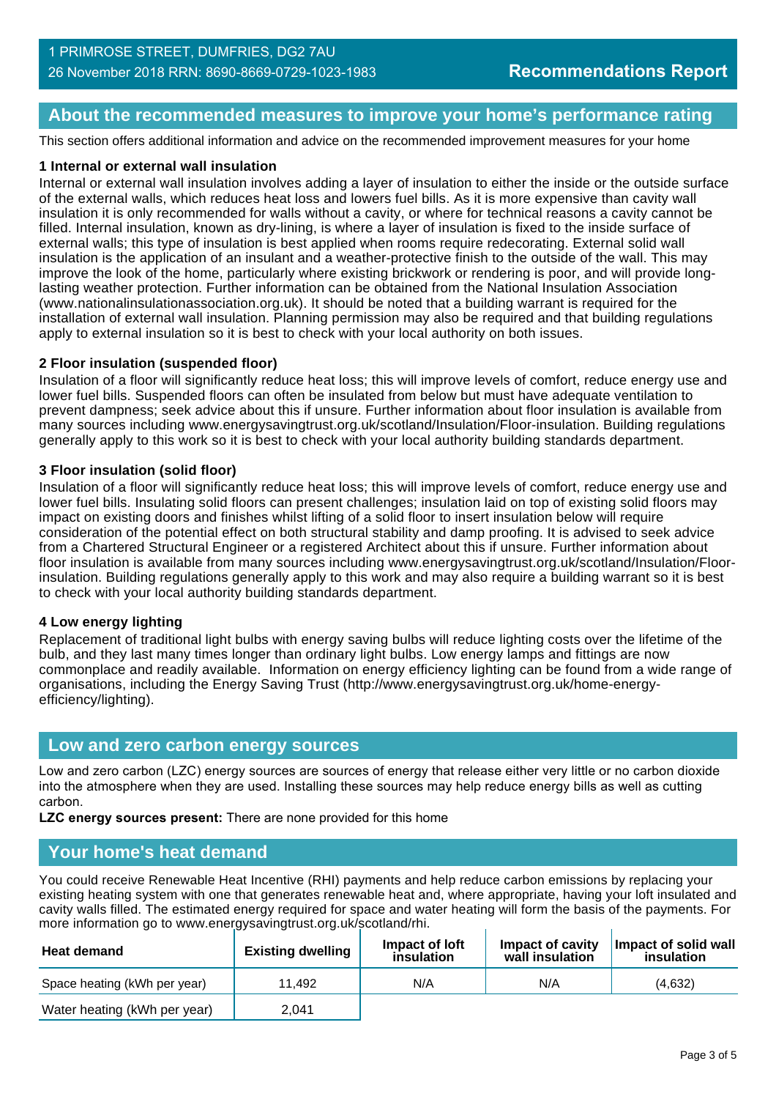## **About the recommended measures to improve your home's performance rating**

This section offers additional information and advice on the recommended improvement measures for your home

#### **1 Internal or external wall insulation**

Internal or external wall insulation involves adding a layer of insulation to either the inside or the outside surface of the external walls, which reduces heat loss and lowers fuel bills. As it is more expensive than cavity wall insulation it is only recommended for walls without a cavity, or where for technical reasons a cavity cannot be filled. Internal insulation, known as dry-lining, is where a layer of insulation is fixed to the inside surface of external walls; this type of insulation is best applied when rooms require redecorating. External solid wall insulation is the application of an insulant and a weather-protective finish to the outside of the wall. This may improve the look of the home, particularly where existing brickwork or rendering is poor, and will provide longlasting weather protection. Further information can be obtained from the National Insulation Association (www.nationalinsulationassociation.org.uk). It should be noted that a building warrant is required for the installation of external wall insulation. Planning permission may also be required and that building regulations apply to external insulation so it is best to check with your local authority on both issues.

#### **2 Floor insulation (suspended floor)**

Insulation of a floor will significantly reduce heat loss; this will improve levels of comfort, reduce energy use and lower fuel bills. Suspended floors can often be insulated from below but must have adequate ventilation to prevent dampness; seek advice about this if unsure. Further information about floor insulation is available from many sources including www.energysavingtrust.org.uk/scotland/Insulation/Floor-insulation. Building regulations generally apply to this work so it is best to check with your local authority building standards department.

#### **3 Floor insulation (solid floor)**

Insulation of a floor will significantly reduce heat loss; this will improve levels of comfort, reduce energy use and lower fuel bills. Insulating solid floors can present challenges; insulation laid on top of existing solid floors may impact on existing doors and finishes whilst lifting of a solid floor to insert insulation below will require consideration of the potential effect on both structural stability and damp proofing. It is advised to seek advice from a Chartered Structural Engineer or a registered Architect about this if unsure. Further information about floor insulation is available from many sources including www.energysavingtrust.org.uk/scotland/Insulation/Floorinsulation. Building regulations generally apply to this work and may also require a building warrant so it is best to check with your local authority building standards department.

#### **4 Low energy lighting**

Replacement of traditional light bulbs with energy saving bulbs will reduce lighting costs over the lifetime of the bulb, and they last many times longer than ordinary light bulbs. Low energy lamps and fittings are now commonplace and readily available. Information on energy efficiency lighting can be found from a wide range of organisations, including the Energy Saving Trust (http://www.energysavingtrust.org.uk/home-energyefficiency/lighting).

#### **Low and zero carbon energy sources**

Low and zero carbon (LZC) energy sources are sources of energy that release either very little or no carbon dioxide into the atmosphere when they are used. Installing these sources may help reduce energy bills as well as cutting carbon.

**LZC energy sources present:** There are none provided for this home

#### **Your home's heat demand**

You could receive Renewable Heat Incentive (RHI) payments and help reduce carbon emissions by replacing your existing heating system with one that generates renewable heat and, where appropriate, having your loft insulated and cavity walls filled. The estimated energy required for space and water heating will form the basis of the payments. For more information go to www.energysavingtrust.org.uk/scotland/rhi.

| <b>Heat demand</b>           | <b>Existing dwelling</b> | Impact of loft<br>insulation | Impact of cavity<br>wall insulation | Impact of solid wall<br>insulation |
|------------------------------|--------------------------|------------------------------|-------------------------------------|------------------------------------|
| Space heating (kWh per year) | 11.492                   | N/A                          | N/A                                 | (4,632)                            |
| Water heating (kWh per year) | 2.041                    |                              |                                     |                                    |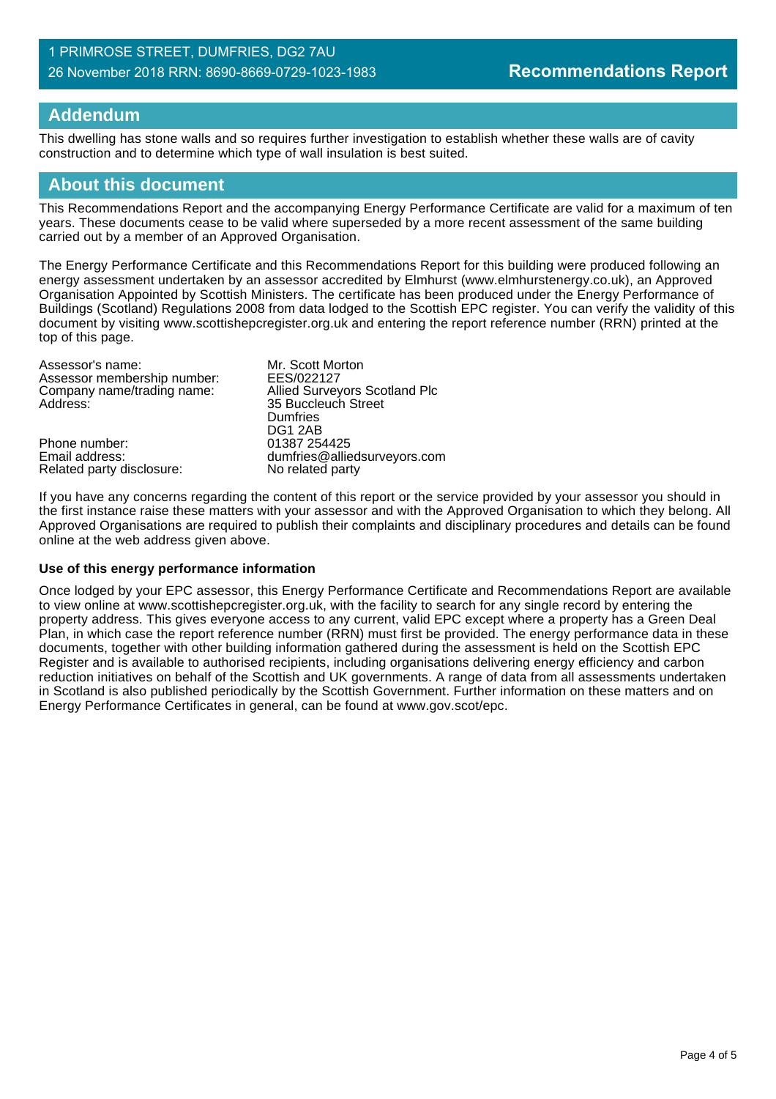## 1 PRIMROSE STREET, DUMFRIES, DG2 7AU 26 November 2018 RRN: 8690-8669-0729-1023-1983

## **Addendum**

This dwelling has stone walls and so requires further investigation to establish whether these walls are of cavity construction and to determine which type of wall insulation is best suited.

#### **About this document**

This Recommendations Report and the accompanying Energy Performance Certificate are valid for a maximum of ten years. These documents cease to be valid where superseded by a more recent assessment of the same building carried out by a member of an Approved Organisation.

The Energy Performance Certificate and this Recommendations Report for this building were produced following an energy assessment undertaken by an assessor accredited by Elmhurst (www.elmhurstenergy.co.uk), an Approved Organisation Appointed by Scottish Ministers. The certificate has been produced under the Energy Performance of Buildings (Scotland) Regulations 2008 from data lodged to the Scottish EPC register. You can verify the validity of this document by visiting www.scottishepcregister.org.uk and entering the report reference number (RRN) printed at the top of this page.

| Assessor's name:            | Mr. Scott Morton                     |
|-----------------------------|--------------------------------------|
| Assessor membership number: | EES/022127                           |
| Company name/trading name:  | <b>Allied Surveyors Scotland Plc</b> |
| Address:                    | 35 Buccleuch Street                  |
|                             | Dumfries                             |
|                             | DG1 2AB                              |
| Phone number:               | 01387 254425                         |
| Email address:              | dumfries@alliedsurveyors.com         |
| Related party disclosure:   | No related party                     |

If you have any concerns regarding the content of this report or the service provided by your assessor you should in the first instance raise these matters with your assessor and with the Approved Organisation to which they belong. All Approved Organisations are required to publish their complaints and disciplinary procedures and details can be found online at the web address given above.

#### **Use of this energy performance information**

Once lodged by your EPC assessor, this Energy Performance Certificate and Recommendations Report are available to view online at www.scottishepcregister.org.uk, with the facility to search for any single record by entering the property address. This gives everyone access to any current, valid EPC except where a property has a Green Deal Plan, in which case the report reference number (RRN) must first be provided. The energy performance data in these documents, together with other building information gathered during the assessment is held on the Scottish EPC Register and is available to authorised recipients, including organisations delivering energy efficiency and carbon reduction initiatives on behalf of the Scottish and UK governments. A range of data from all assessments undertaken in Scotland is also published periodically by the Scottish Government. Further information on these matters and on Energy Performance Certificates in general, can be found at www.gov.scot/epc.